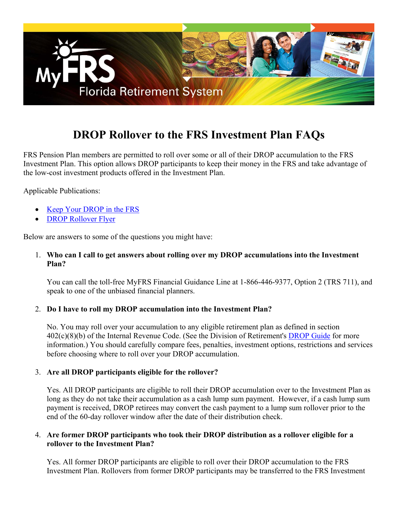

# **DROP Rollover to the FRS Investment Plan FAQs**

FRS Pension Plan members are permitted to roll over some or all of their DROP accumulation to the FRS Investment Plan. This option allows DROP participants to keep their money in the FRS and take advantage of the low-cost investment products offered in the Investment Plan.

Applicable Publications:

- [Keep Your DROP in the FRS](http://www.myfrs.com/pdf/forms/Keep_Your_DROP_in_the_FRS.pdf)
- [DROP Rollover Flyer](http://www.myfrs.com/pdf/forms/DROP_Kit_Letter.pdf)

Below are answers to some of the questions you might have:

#### 1. **Who can I call to get answers about rolling over my DROP accumulations into the Investment Plan?**

You can call the toll-free MyFRS Financial Guidance Line at 1-866-446-9377, Option 2 (TRS 711), and speak to one of the unbiased financial planners.

#### 2. **Do I have to roll my DROP accumulation into the Investment Plan?**

No. You may roll over your accumulation to any eligible retirement plan as defined in section 402(c)(8)(b) of the Internal Revenue Code. (See the Division of Retirement's [DROP Guide](https://www.rol.frs.state.fl.us/forms/DROP-guide.pdf) for more information.) You should carefully compare fees, penalties, investment options, restrictions and services before choosing where to roll over your DROP accumulation.

#### 3. **Are all DROP participants eligible for the rollover?**

Yes. All DROP participants are eligible to roll their DROP accumulation over to the Investment Plan as long as they do not take their accumulation as a cash lump sum payment. However, if a cash lump sum payment is received, DROP retirees may convert the cash payment to a lump sum rollover prior to the end of the 60-day rollover window after the date of their distribution check.

#### 4. **Are former DROP participants who took their DROP distribution as a rollover eligible for a rollover to the Investment Plan?**

Yes. All former DROP participants are eligible to roll over their DROP accumulation to the FRS Investment Plan. Rollovers from former DROP participants may be transferred to the FRS Investment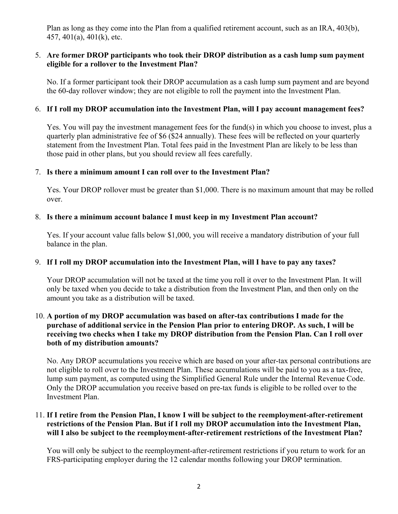Plan as long as they come into the Plan from a qualified retirement account, such as an IRA, 403(b), 457, 401(a), 401(k), etc.

## 5. **Are former DROP participants who took their DROP distribution as a cash lump sum payment eligible for a rollover to the Investment Plan?**

No. If a former participant took their DROP accumulation as a cash lump sum payment and are beyond the 60-day rollover window; they are not eligible to roll the payment into the Investment Plan.

### 6. **If I roll my DROP accumulation into the Investment Plan, will I pay account management fees?**

Yes. You will pay the investment management fees for the fund(s) in which you choose to invest, plus a quarterly plan administrative fee of \$6 (\$24 annually). These fees will be reflected on your quarterly statement from the Investment Plan. Total fees paid in the Investment Plan are likely to be less than those paid in other plans, but you should review all fees carefully.

#### 7. **Is there a minimum amount I can roll over to the Investment Plan?**

Yes. Your DROP rollover must be greater than \$1,000. There is no maximum amount that may be rolled over.

#### 8. **Is there a minimum account balance I must keep in my Investment Plan account?**

Yes. If your account value falls below \$1,000, you will receive a mandatory distribution of your full balance in the plan.

#### 9. **If I roll my DROP accumulation into the Investment Plan, will I have to pay any taxes?**

Your DROP accumulation will not be taxed at the time you roll it over to the Investment Plan. It will only be taxed when you decide to take a distribution from the Investment Plan, and then only on the amount you take as a distribution will be taxed.

#### 10. **A portion of my DROP accumulation was based on after-tax contributions I made for the purchase of additional service in the Pension Plan prior to entering DROP. As such, I will be receiving two checks when I take my DROP distribution from the Pension Plan. Can I roll over both of my distribution amounts?**

No. Any DROP accumulations you receive which are based on your after-tax personal contributions are not eligible to roll over to the Investment Plan. These accumulations will be paid to you as a tax-free, lump sum payment, as computed using the Simplified General Rule under the Internal Revenue Code. Only the DROP accumulation you receive based on pre-tax funds is eligible to be rolled over to the Investment Plan.

#### 11. **If I retire from the Pension Plan, I know I will be subject to the reemployment-after-retirement restrictions of the Pension Plan. But if I roll my DROP accumulation into the Investment Plan, will I also be subject to the reemployment-after-retirement restrictions of the Investment Plan?**

You will only be subject to the reemployment-after-retirement restrictions if you return to work for an FRS-participating employer during the 12 calendar months following your DROP termination.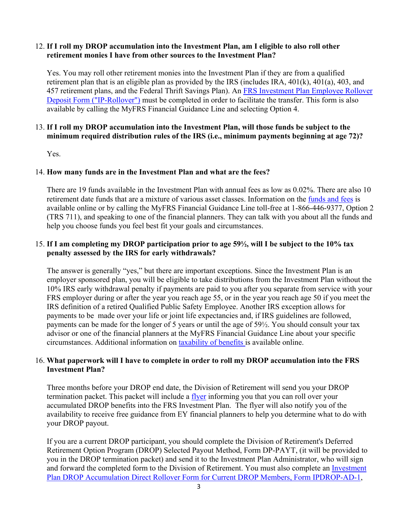#### 12. **If I roll my DROP accumulation into the Investment Plan, am I eligible to also roll other retirement monies I have from other sources to the Investment Plan?**

Yes. You may roll other retirement monies into the Investment Plan if they are from a qualified retirement plan that is an eligible plan as provided by the IRS (includes IRA, 401(k), 401(a), 403, and [457 retirement plans, and the Federal Thrift Savings Plan\). An FRS Investment Plan Employee Rollover](http://www.myfrs.com/pdf/forms/IP_Rollover.pdf) Deposit Form ("IP-Rollover") must be completed in order to facilitate the transfer. This form is also available by calling the MyFRS Financial Guidance Line and selecting Option 4.

# 13. **If I roll my DROP accumulation into the Investment Plan, will those funds be subject to the minimum required distribution rules of the IRS (i.e., minimum payments beginning at age 72)?**

Yes.

# 14. **How many funds are in the Investment Plan and what are the fees?**

There are 19 funds available in the Investment Plan with annual fees as low as 0.02%. There are also 10 retirement date funds that are a mixture of various asset classes. Information on the [funds and fees](http://www.myfrs.com/InvestmentFundTabs.htm) is available online or by calling the MyFRS Financial Guidance Line toll-free at 1-866-446-9377, Option 2 (TRS 711), and speaking to one of the financial planners. They can talk with you about all the funds and help you choose funds you feel best fit your goals and circumstances.

## 15. **If I am completing my DROP participation prior to age 59½, will I be subject to the 10% tax penalty assessed by the IRS for early withdrawals?**

The answer is generally "yes," but there are important exceptions. Since the Investment Plan is an employer sponsored plan, you will be eligible to take distributions from the Investment Plan without the 10% IRS early withdrawal penalty if payments are paid to you after you separate from service with your FRS employer during or after the year you reach age 55, or in the year you reach age 50 if you meet the IRS definition of a retired Qualified Public Safety Employee. Another IRS exception allows for payments to be made over your life or joint life expectancies and, if IRS guidelines are followed, payments can be made for the longer of 5 years or until the age of 59½. You should consult your tax advisor or one of the financial planners at the MyFRS Financial Guidance Line about your specific circumstances. Additional information on [taxability of benefits](http://www.myfrs.com/FRSPro_ComparePlan_Taxability.htm) is available online.

# 16. **What paperwork will I have to complete in order to roll my DROP accumulation into the FRS Investment Plan?**

Three months before your DROP end date, the Division of Retirement will send you your DROP termination packet. This packet will include a [flyer](http://www.myfrs.com/pdf/forms/DROP_Kit_Letter.pdf) informing you that you can roll over your accumulated DROP benefits into the FRS Investment Plan. The flyer will also notify you of the availability to receive free guidance from EY financial planners to help you determine what to do with your DROP payout.

If you are a current DROP participant, you should complete the Division of Retirement's Deferred Retirement Option Program (DROP) Selected Payout Method, Form DP-PAYT, (it will be provided to you in the DROP termination packet) and send it to the Investment Plan Administrator, who will sign [and forward the completed form to the Division of Retirement. You must also complete an Investment](http://www.myfrs.com/pdf/forms/drop_deposit.pdf)  Plan DROP Accumulation Direct Rollover Form for Current DROP Members, Form IPDROP-AD-1,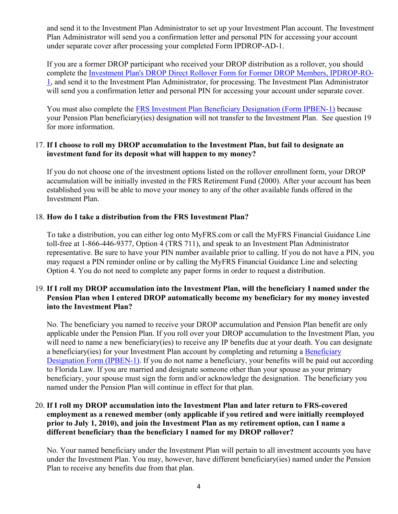and send it to the Investment Plan Administrator to set up your Investment Plan account. The Investment Plan Administrator will send you a confirmation letter and personal PIN for accessing your account under separate cover after processing your completed Form IPDROP-AD-1.

If you are a former DROP participant who received your DROP distribution as a rollover, you should [complete the Investment Plan's DROP Direct Rollover Form for Former DROP Members, IPDROP-RO-](http://www.myfrs.com/pdf/forms/drop_direct_rollover.pdf)1, and send it to the Investment Plan Administrator, for processing. The Investment Plan Administrator will send you a confirmation letter and personal PIN for accessing your account under separate cover.

You must also complete the [FRS Investment Plan Beneficiary Designation \(Form IPBEN-1\)](https://www.myfrs.com/pdf/forms/ip_beneficiary.pdf) because your Pension Plan beneficiary(ies) designation will not transfer to the Investment Plan. See question 19 for more information.

### 17. **If I choose to roll my DROP accumulation to the Investment Plan, but fail to designate an investment fund for its deposit what will happen to my money?**

If you do not choose one of the investment options listed on the rollover enrollment form, your DROP accumulation will be initially invested in the FRS Retirement Fund (2000). After your account has been established you will be able to move your money to any of the other available funds offered in the Investment Plan.

# 18. **How do I take a distribution from the FRS Investment Plan?**

To take a distribution, you can either log onto MyFRS.com or call the MyFRS Financial Guidance Line toll-free at 1-866-446-9377, Option 4 (TRS 711), and speak to an Investment Plan Administrator representative. Be sure to have your PIN number available prior to calling. If you do not have a PIN, you may request a PIN reminder online or by calling the MyFRS Financial Guidance Line and selecting Option 4. You do not need to complete any paper forms in order to request a distribution.

#### 19. **If I roll my DROP accumulation into the Investment Plan, will the beneficiary I named under the Pension Plan when I entered DROP automatically become my beneficiary for my money invested into the Investment Plan?**

No. The beneficiary you named to receive your DROP accumulation and Pension Plan benefit are only applicable under the Pension Plan. If you roll over your DROP accumulation to the Investment Plan, you will need to name a new beneficiary(ies) to receive any IP benefits due at your death. You can designate a beneficiary(ies) for your Investment Plan account by completing and returning a Beneficiary [Designation Form \(IPBEN-1\). If you do not name a beneficiary, your benefits will be paid out](http://www.myfrs.com/pdf/forms/ip_beneficiary.pdf) according to Florida Law. If you are married and designate someone other than your spouse as your primary beneficiary, your spouse must sign the form and/or acknowledge the designation. The beneficiary you named under the Pension Plan will continue in effect for that plan.

# 20. **If I roll my DROP accumulation into the Investment Plan and later return to FRS-covered employment as a renewed member (only applicable if you retired and were initially reemployed prior to July 1, 2010), and join the Investment Plan as my retirement option, can I name a different beneficiary than the beneficiary I named for my DROP rollover?**

No. Your named beneficiary under the Investment Plan will pertain to all investment accounts you have under the Investment Plan. You may, however, have different beneficiary(ies) named under the Pension Plan to receive any benefits due from that plan.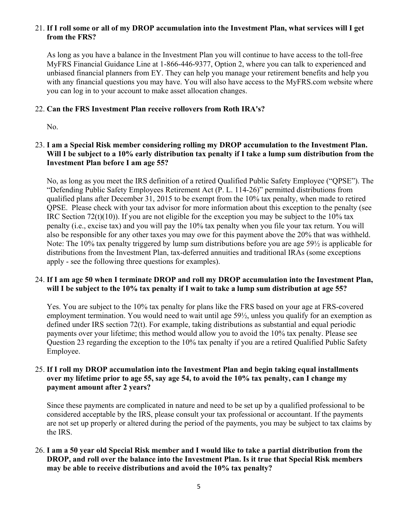## 21. **If I roll some or all of my DROP accumulation into the Investment Plan, what services will I get from the FRS?**

As long as you have a balance in the Investment Plan you will continue to have access to the toll-free MyFRS Financial Guidance Line at 1-866-446-9377, Option 2, where you can talk to experienced and unbiased financial planners from EY. They can help you manage your retirement benefits and help you with any financial questions you may have. You will also have access to the MyFRS.com website where you can log in to your account to make asset allocation changes.

# 22. **Can the FRS Investment Plan receive rollovers from Roth IRA's?**

No.

# 23. **I am a Special Risk member considering rolling my DROP accumulation to the Investment Plan. Will I be subject to a 10% early distribution tax penalty if I take a lump sum distribution from the Investment Plan before I am age 55?**

No, as long as you meet the IRS definition of a retired Qualified Public Safety Employee ("QPSE"). The "Defending Public Safety Employees Retirement Act (P. L. 114-26)" permitted distributions from qualified plans after December 31, 2015 to be exempt from the 10% tax penalty, when made to retired QPSE. Please check with your tax advisor for more information about this exception to the penalty (see IRC Section 72(t)(10)). If you are not eligible for the exception you may be subject to the  $10\%$  tax penalty (i.e., excise tax) and you will pay the 10% tax penalty when you file your tax return. You will also be responsible for any other taxes you may owe for this payment above the 20% that was withheld. Note: The 10% tax penalty triggered by lump sum distributions before you are age 59½ is applicable for distributions from the Investment Plan, tax-deferred annuities and traditional IRAs (some exceptions apply - see the following three questions for examples).

#### 24. **If I am age 50 when I terminate DROP and roll my DROP accumulation into the Investment Plan, will I be subject to the 10% tax penalty if I wait to take a lump sum distribution at age 55?**

Yes. You are subject to the 10% tax penalty for plans like the FRS based on your age at FRS-covered employment termination. You would need to wait until age 59½, unless you qualify for an exemption as defined under IRS section 72(t). For example, taking distributions as substantial and equal periodic payments over your lifetime; this method would allow you to avoid the 10% tax penalty. Please see Question 23 regarding the exception to the 10% tax penalty if you are a retired Qualified Public Safety Employee.

# 25. **If I roll my DROP accumulation into the Investment Plan and begin taking equal installments over my lifetime prior to age 55, say age 54, to avoid the 10% tax penalty, can I change my payment amount after 2 years?**

Since these payments are complicated in nature and need to be set up by a qualified professional to be considered acceptable by the IRS, please consult your tax professional or accountant. If the payments are not set up properly or altered during the period of the payments, you may be subject to tax claims by the IRS.

# 26. **I am a 50 year old Special Risk member and I would like to take a partial distribution from the DROP, and roll over the balance into the Investment Plan. Is it true that Special Risk members may be able to receive distributions and avoid the 10% tax penalty?**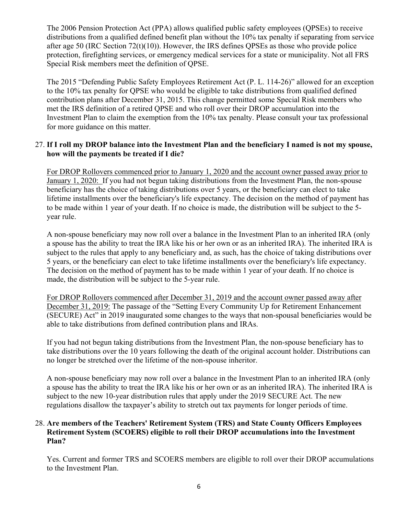The 2006 Pension Protection Act (PPA) allows qualified public safety employees (QPSEs) to receive distributions from a qualified defined benefit plan without the 10% tax penalty if separating from service after age 50 (IRC Section 72(t)(10)). However, the IRS defines QPSEs as those who provide police protection, firefighting services, or emergency medical services for a state or municipality. Not all FRS Special Risk members meet the definition of QPSE.

The 2015 "Defending Public Safety Employees Retirement Act (P. L. 114-26)" allowed for an exception to the 10% tax penalty for QPSE who would be eligible to take distributions from qualified defined contribution plans after December 31, 2015. This change permitted some Special Risk members who met the IRS definition of a retired QPSE and who roll over their DROP accumulation into the Investment Plan to claim the exemption from the 10% tax penalty. Please consult your tax professional for more guidance on this matter.

### 27. **If I roll my DROP balance into the Investment Plan and the beneficiary I named is not my spouse, how will the payments be treated if I die?**

For DROP Rollovers commenced prior to January 1, 2020 and the account owner passed away prior to January 1, 2020: If you had not begun taking distributions from the Investment Plan, the non-spouse beneficiary has the choice of taking distributions over 5 years, or the beneficiary can elect to take lifetime installments over the beneficiary's life expectancy. The decision on the method of payment has to be made within 1 year of your death. If no choice is made, the distribution will be subject to the 5 year rule.

A non-spouse beneficiary may now roll over a balance in the Investment Plan to an inherited IRA (only a spouse has the ability to treat the IRA like his or her own or as an inherited IRA). The inherited IRA is subject to the rules that apply to any beneficiary and, as such, has the choice of taking distributions over 5 years, or the beneficiary can elect to take lifetime installments over the beneficiary's life expectancy. The decision on the method of payment has to be made within 1 year of your death. If no choice is made, the distribution will be subject to the 5-year rule.

For DROP Rollovers commenced after December 31, 2019 and the account owner passed away after December 31, 2019: The passage of the "Setting Every Community Up for Retirement Enhancement (SECURE) Act" in 2019 inaugurated some changes to the ways that non-spousal beneficiaries would be able to take distributions from defined contribution plans and IRAs.

If you had not begun taking distributions from the Investment Plan, the non-spouse beneficiary has to take distributions over the 10 years following the death of the original account holder. Distributions can no longer be stretched over the lifetime of the non-spouse inheritor.

A non-spouse beneficiary may now roll over a balance in the Investment Plan to an inherited IRA (only a spouse has the ability to treat the IRA like his or her own or as an inherited IRA). The inherited IRA is subject to the new 10-year distribution rules that apply under the 2019 SECURE Act. The new regulations disallow the taxpayer's ability to stretch out tax payments for longer periods of time.

#### 28. **Are members of the Teachers' Retirement System (TRS) and State County Officers Employees Retirement System (SCOERS) eligible to roll their DROP accumulations into the Investment Plan?**

Yes. Current and former TRS and SCOERS members are eligible to roll over their DROP accumulations to the Investment Plan.